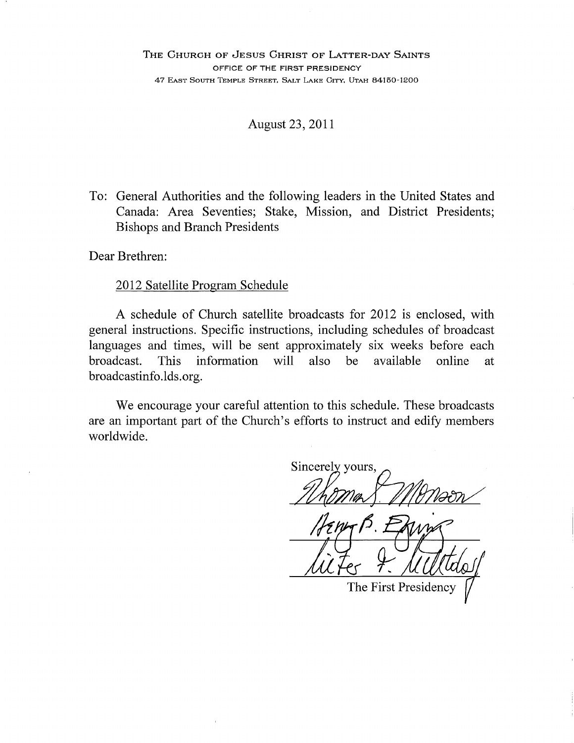#### August 23, 2011

To: General Authorities and the following leaders in the United States and Canada: Area Seventies; Stake, Mission, and District Presidents; **Bishops and Branch Presidents** 

Dear Brethren:

#### 2012 Satellite Program Schedule

A schedule of Church satellite broadcasts for 2012 is enclosed, with general instructions. Specific instructions, including schedules of broadcast languages and times, will be sent approximately six weeks before each information will also available online broadcast. **This** be at. broadcastinfo.lds.org.

We encourage your careful attention to this schedule. These broadcasts are an important part of the Church's efforts to instruct and edify members worldwide.

Sincerely yours.

The First Presidency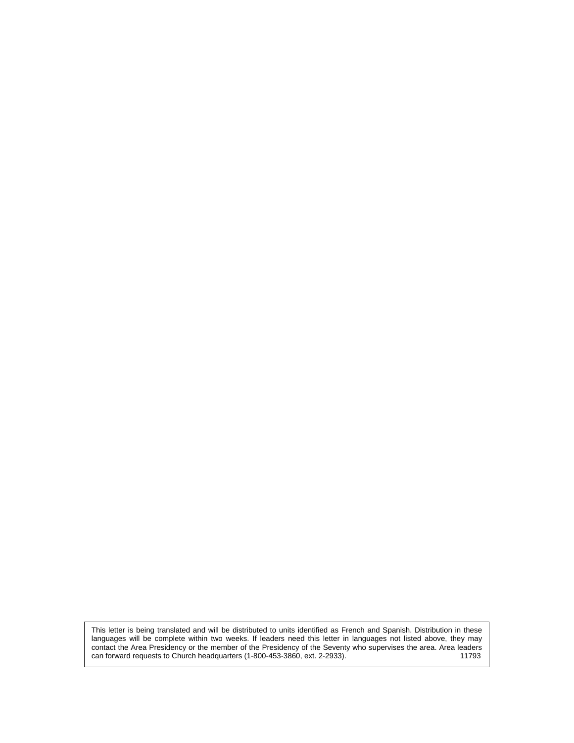This letter is being translated and will be distributed to units identified as French and Spanish. Distribution in these languages will be complete within two weeks. If leaders need this letter in languages not listed above, they may contact the Area Presidency or the member of the Presidency of the Seventy who supervises the area. Area leaders can forward requests to Church headquarters (1-800-453-3860, ext. 2-2933). 11793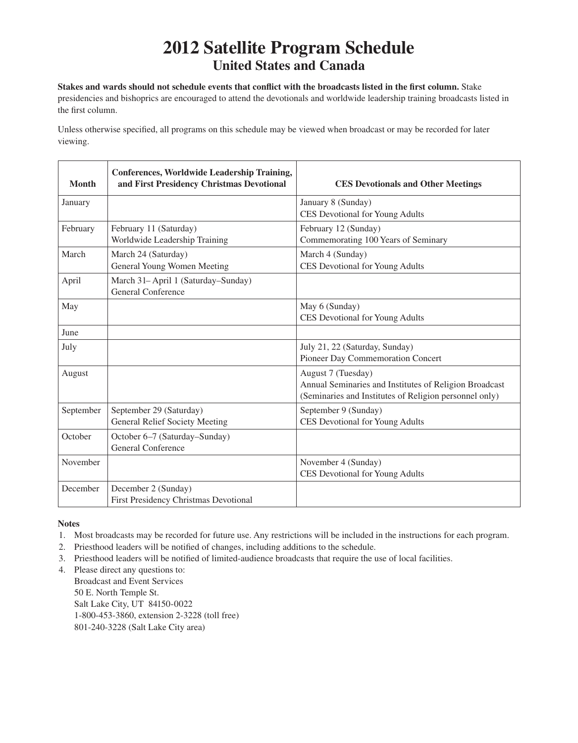## **2012 Satellite Program Schedule United States and Canada**

**Stakes and wards should not schedule events that conflict with the broadcasts listed in the first column.** Stake

presidencies and bishoprics are encouraged to attend the devotionals and worldwide leadership training broadcasts listed in the first column.

Unless otherwise specified, all programs on this schedule may be viewed when broadcast or may be recorded for later viewing.

| <b>Month</b> | <b>Conferences, Worldwide Leadership Training,</b><br>and First Presidency Christmas Devotional | <b>CES Devotionals and Other Meetings</b>                                                                                              |
|--------------|-------------------------------------------------------------------------------------------------|----------------------------------------------------------------------------------------------------------------------------------------|
| January      |                                                                                                 | January 8 (Sunday)<br>CES Devotional for Young Adults                                                                                  |
| February     | February 11 (Saturday)<br>Worldwide Leadership Training                                         | February 12 (Sunday)<br>Commemorating 100 Years of Seminary                                                                            |
| March        | March 24 (Saturday)<br>General Young Women Meeting                                              | March 4 (Sunday)<br>CES Devotional for Young Adults                                                                                    |
| April        | March 31-April 1 (Saturday-Sunday)<br><b>General Conference</b>                                 |                                                                                                                                        |
| May          |                                                                                                 | May 6 (Sunday)<br>CES Devotional for Young Adults                                                                                      |
| June         |                                                                                                 |                                                                                                                                        |
| July         |                                                                                                 | July 21, 22 (Saturday, Sunday)<br>Pioneer Day Commemoration Concert                                                                    |
| August       |                                                                                                 | August 7 (Tuesday)<br>Annual Seminaries and Institutes of Religion Broadcast<br>(Seminaries and Institutes of Religion personnel only) |
| September    | September 29 (Saturday)<br><b>General Relief Society Meeting</b>                                | September 9 (Sunday)<br>CES Devotional for Young Adults                                                                                |
| October      | October 6-7 (Saturday-Sunday)<br><b>General Conference</b>                                      |                                                                                                                                        |
| November     |                                                                                                 | November 4 (Sunday)<br>CES Devotional for Young Adults                                                                                 |
| December     | December 2 (Sunday)<br>First Presidency Christmas Devotional                                    |                                                                                                                                        |

**Notes**

- 1. Most broadcasts may be recorded for future use. Any restrictions will be included in the instructions for each program.
- 2. Priesthood leaders will be notified of changes, including additions to the schedule.
- 3. Priesthood leaders will be notified of limited-audience broadcasts that require the use of local facilities.
- 4. Please direct any questions to:

Broadcast and Event Services 50 E. North Temple St. Salt Lake City, UT 84150-0022 1-800-453-3860, extension 2-3228 (toll free) 801-240-3228 (Salt Lake City area)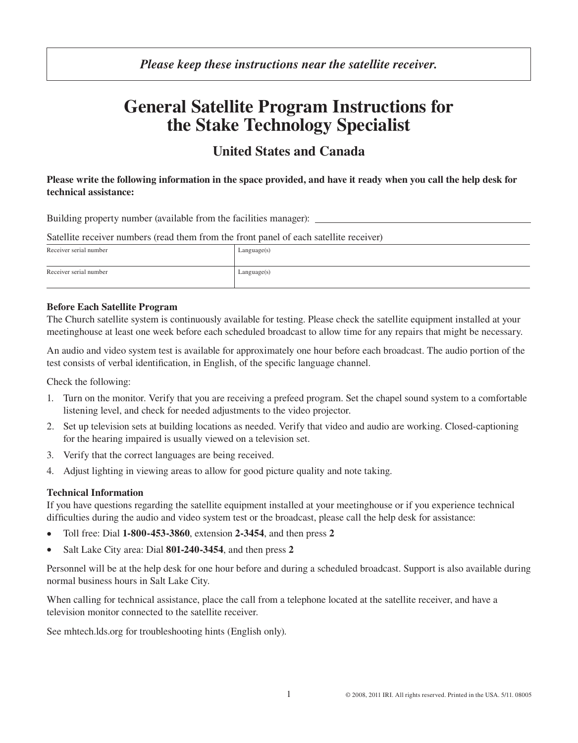### *Please keep these instructions near the satellite receiver.*

# **General Satellite Program Instructions for the Stake Technology Specialist**

## **United States and Canada**

#### **Please write the following information in the space provided, and have it ready when you call the help desk for technical assistance:**

Building property number (available from the facilities manager):

| Satellite receiver numbers (read them from the front panel of each satellite receiver) |  |
|----------------------------------------------------------------------------------------|--|
|----------------------------------------------------------------------------------------|--|

| Receiver serial number | Language(s) |
|------------------------|-------------|
| Receiver serial number | Language(s) |

#### **Before Each Satellite Program**

The Church satellite system is continuously available for testing. Please check the satellite equipment installed at your meetinghouse at least one week before each scheduled broadcast to allow time for any repairs that might be necessary.

An audio and video system test is available for approximately one hour before each broadcast. The audio portion of the test consists of verbal identification, in English, of the specific language channel.

Check the following:

- 1. Turn on the monitor. Verify that you are receiving a prefeed program. Set the chapel sound system to a comfortable listening level, and check for needed adjustments to the video projector.
- 2. Set up television sets at building locations as needed. Verify that video and audio are working. Closed-captioning for the hearing impaired is usually viewed on a television set.
- 3. Verify that the correct languages are being received.
- 4. Adjust lighting in viewing areas to allow for good picture quality and note taking.

#### **Technical Information**

If you have questions regarding the satellite equipment installed at your meetinghouse or if you experience technical difficulties during the audio and video system test or the broadcast, please call the help desk for assistance:

- • Toll free: Dial **1‑800‑453‑3860**, extension **2‑3454**, and then press **2**
- Salt Lake City area: Dial 801-240-3454, and then press 2

Personnel will be at the help desk for one hour before and during a scheduled broadcast. Support is also available during normal business hours in Salt Lake City.

When calling for technical assistance, place the call from a telephone located at the satellite receiver, and have a television monitor connected to the satellite receiver.

See mhtech.lds.org for troubleshooting hints (English only).